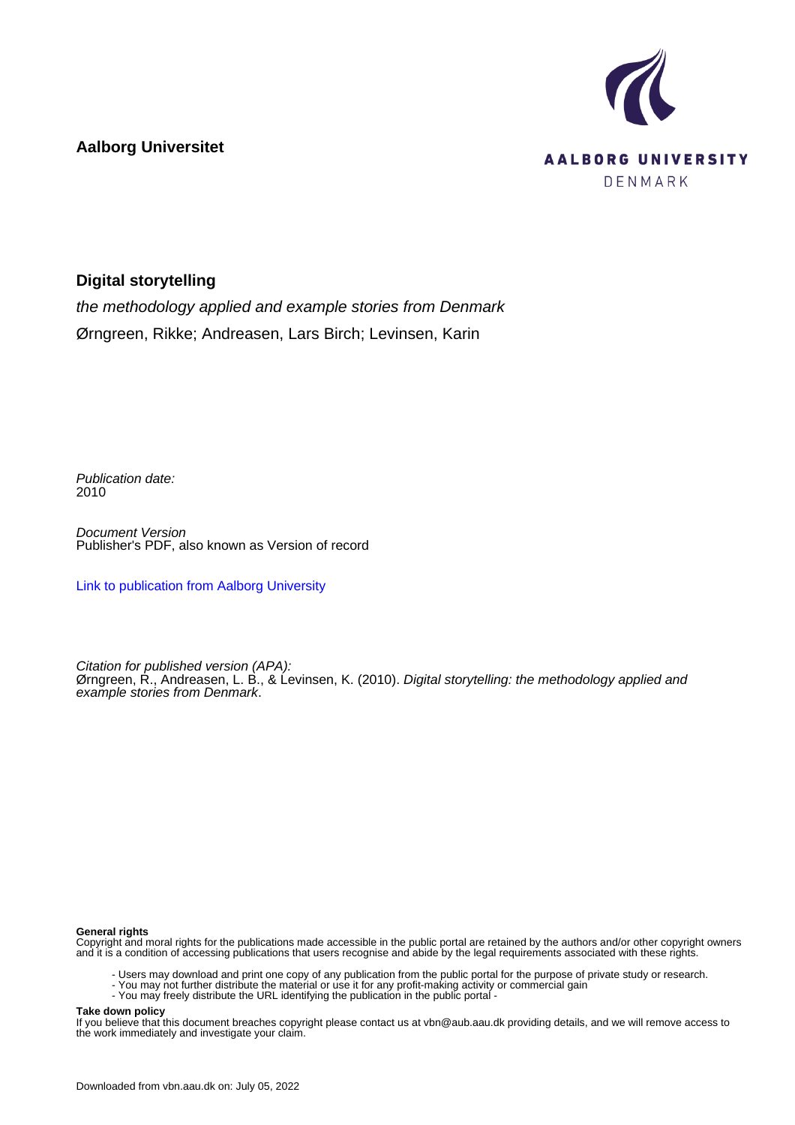**Aalborg Universitet**



## **Digital storytelling**

the methodology applied and example stories from Denmark Ørngreen, Rikke; Andreasen, Lars Birch; Levinsen, Karin

Publication date: 2010

Document Version Publisher's PDF, also known as Version of record

[Link to publication from Aalborg University](https://vbn.aau.dk/en/publications/cc14191a-3249-4a66-b739-8874cabdb0b1)

Citation for published version (APA): Ørngreen, R., Andreasen, L. B., & Levinsen, K. (2010). Digital storytelling: the methodology applied and example stories from Denmark.

#### **General rights**

Copyright and moral rights for the publications made accessible in the public portal are retained by the authors and/or other copyright owners and it is a condition of accessing publications that users recognise and abide by the legal requirements associated with these rights.

- Users may download and print one copy of any publication from the public portal for the purpose of private study or research.
- You may not further distribute the material or use it for any profit-making activity or commercial gain
- You may freely distribute the URL identifying the publication in the public portal -

#### **Take down policy**

If you believe that this document breaches copyright please contact us at vbn@aub.aau.dk providing details, and we will remove access to the work immediately and investigate your claim.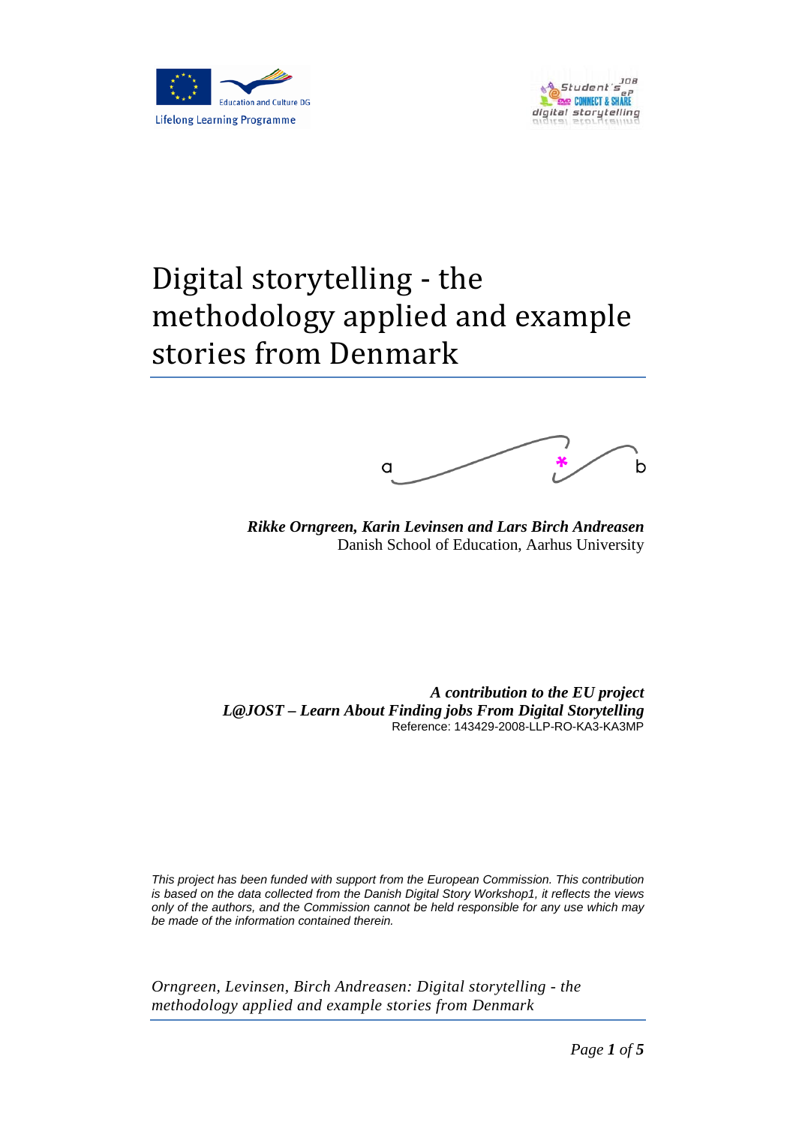



# Digital storytelling - the methodology applied and example stories from Denmark



*Rikke Orngreen, Karin Levinsen and Lars Birch Andreasen* Danish School of Education, Aarhus University

*A contribution to the EU project L@JOST – Learn About Finding jobs From Digital Storytelling* Reference: 143429-2008-LLP-RO-KA3-KA3MP

*This project has been funded with support from the European Commission. This contribution is based on the data collected from the Danish Digital Story Workshop1, it reflects the views only of the authors, and the Commission cannot be held responsible for any use which may be made of the information contained therein.*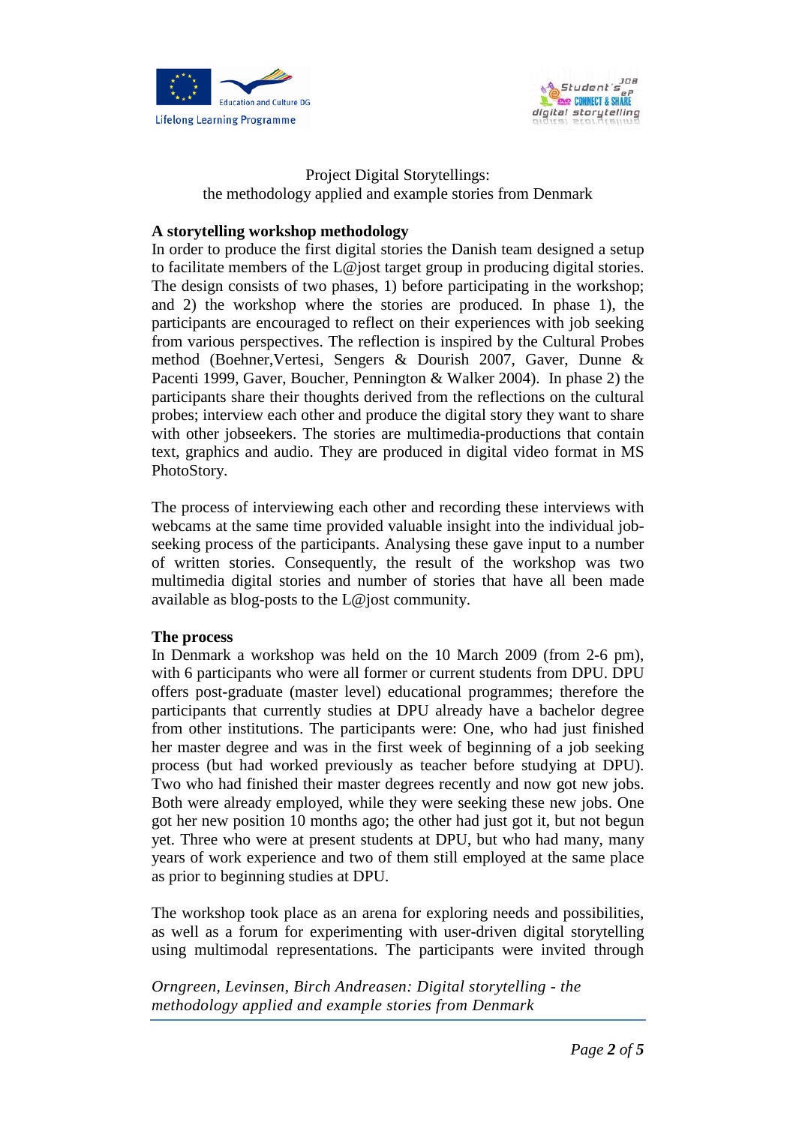



## Project Digital Storytellings: the methodology applied and example stories from Denmark

# **A storytelling workshop methodology**

In order to produce the first digital stories the Danish team designed a setup to facilitate members of the L@jost target group in producing digital stories. The design consists of two phases, 1) before participating in the workshop; and 2) the workshop where the stories are produced. In phase 1), the participants are encouraged to reflect on their experiences with job seeking from various perspectives. The reflection is inspired by the Cultural Probes method (Boehner,Vertesi, Sengers & Dourish 2007, Gaver, Dunne & Pacenti 1999, Gaver, Boucher, Pennington & Walker 2004). In phase 2) the participants share their thoughts derived from the reflections on the cultural probes; interview each other and produce the digital story they want to share with other jobseekers. The stories are multimedia-productions that contain text, graphics and audio. They are produced in digital video format in MS PhotoStory.

The process of interviewing each other and recording these interviews with webcams at the same time provided valuable insight into the individual jobseeking process of the participants. Analysing these gave input to a number of written stories. Consequently, the result of the workshop was two multimedia digital stories and number of stories that have all been made available as blog-posts to the L@jost community.

### **The process**

In Denmark a workshop was held on the 10 March 2009 (from 2-6 pm), with 6 participants who were all former or current students from DPU. DPU offers post-graduate (master level) educational programmes; therefore the participants that currently studies at DPU already have a bachelor degree from other institutions. The participants were: One, who had just finished her master degree and was in the first week of beginning of a job seeking process (but had worked previously as teacher before studying at DPU). Two who had finished their master degrees recently and now got new jobs. Both were already employed, while they were seeking these new jobs. One got her new position 10 months ago; the other had just got it, but not begun yet. Three who were at present students at DPU, but who had many, many years of work experience and two of them still employed at the same place as prior to beginning studies at DPU.

The workshop took place as an arena for exploring needs and possibilities, as well as a forum for experimenting with user-driven digital storytelling using multimodal representations. The participants were invited through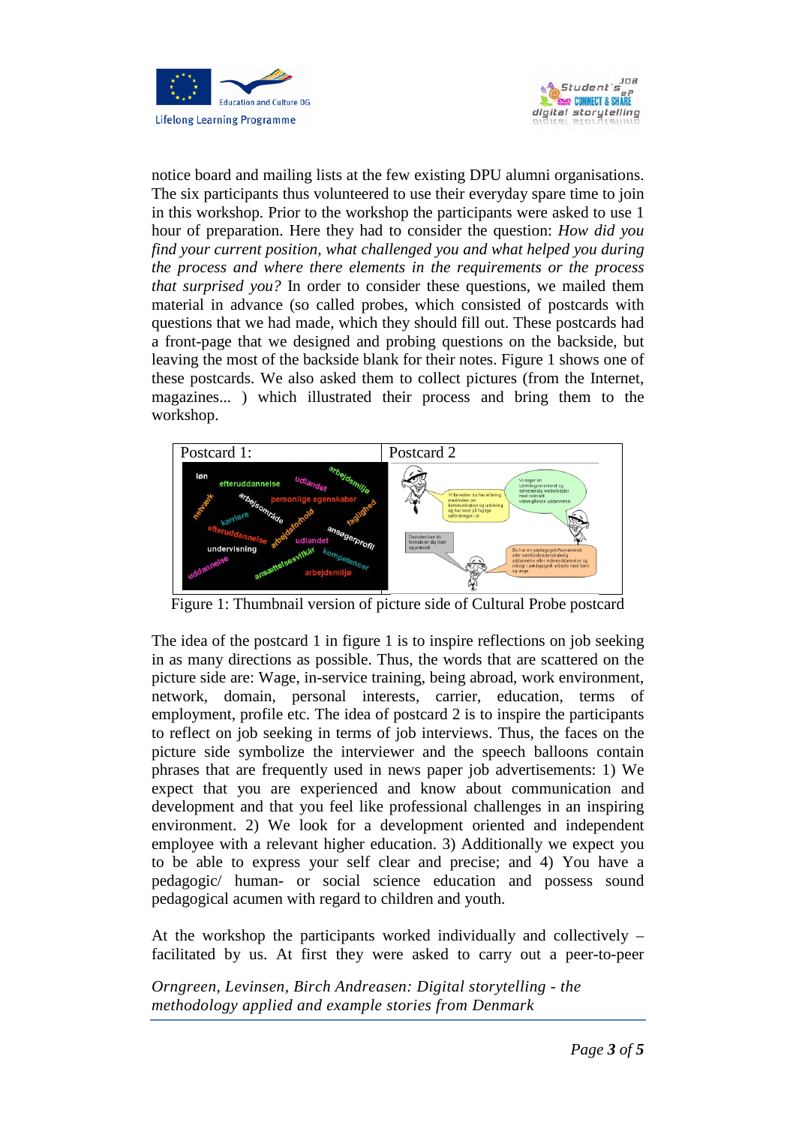



notice board and mailing lists at the few existing DPU alumni organisations. The six participants thus volunteered to use their everyday spare time to join in this workshop. Prior to the workshop the participants were asked to use 1 hour of preparation. Here they had to consider the question: *How did you find your current position, what challenged you and what helped you during the process and where there elements in the requirements or the process that surprised you?* In order to consider these questions, we mailed them material in advance (so called probes, which consisted of postcards with questions that we had made, which they should fill out. These postcards had a front-page that we designed and probing questions on the backside, but leaving the most of the backside blank for their notes. Figure 1 shows one of these postcards. We also asked them to collect pictures (from the Internet, magazines... ) which illustrated their process and bring them to the workshop.



Figure 1: Thumbnail version of picture side of Cultural Probe postcard

The idea of the postcard 1 in figure 1 is to inspire reflections on job seeking in as many directions as possible. Thus, the words that are scattered on the picture side are: Wage, in-service training, being abroad, work environment, network, domain, personal interests, carrier, education, terms of employment, profile etc. The idea of postcard 2 is to inspire the participants to reflect on job seeking in terms of job interviews. Thus, the faces on the picture side symbolize the interviewer and the speech balloons contain phrases that are frequently used in news paper job advertisements: 1) We expect that you are experienced and know about communication and development and that you feel like professional challenges in an inspiring environment. 2) We look for a development oriented and independent employee with a relevant higher education. 3) Additionally we expect you to be able to express your self clear and precise; and 4) You have a pedagogic/ human- or social science education and possess sound pedagogical acumen with regard to children and youth.

At the workshop the participants worked individually and collectively – facilitated by us. At first they were asked to carry out a peer-to-peer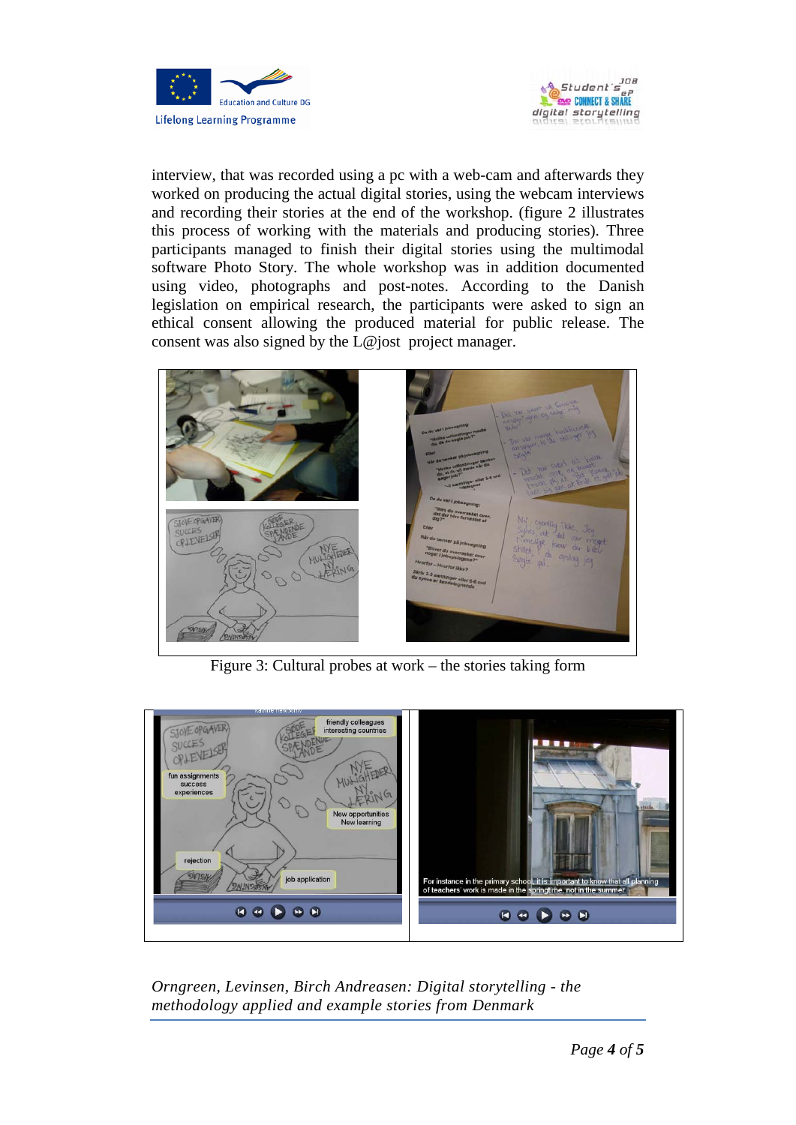



interview, that was recorded using a pc with a web-cam and afterwards they worked on producing the actual digital stories, using the webcam interviews and recording their stories at the end of the workshop. (figure 2 illustrates this process of working with the materials and producing stories). Three participants managed to finish their digital stories using the multimodal software Photo Story. The whole workshop was in addition documented using video, photographs and post-notes. According to the Danish legislation on empirical research, the participants were asked to sign an ethical consent allowing the produced material for public release. The consent was also signed by the L@jost project manager.



Figure 3: Cultural probes at work – the stories taking form